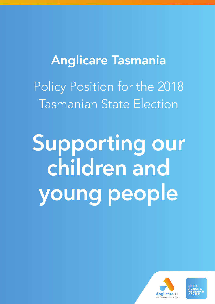# Anglicare Tasmania Policy Position for the 2018 Tasmanian State Election

**Supporting our children and young people**



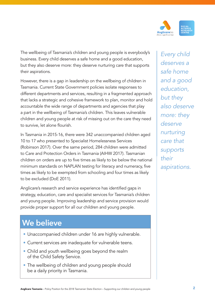

The wellbeing of Tasmania's children and young people is everybody's business. Every child deserves a safe home and a good education, but they also deserve more: they deserve nurturing care that supports their aspirations.

However, there is a gap in leadership on the wellbeing of children in Tasmania. Current State Government policies isolate responses to different departments and services, resulting in a fragmented approach that lacks a strategic and cohesive framework to plan, monitor and hold accountable the wide range of departments and agencies that play a part in the wellbeing of Tasmania's children. This leaves vulnerable children and young people at risk of missing out on the care they need to survive, let alone flourish.

In Tasmania in 2015-16, there were 342 unaccompanied children aged 10 to 17 who presented to Specialist Homelessness Services (Robinson 2017). Over the same period, 284 children were admitted to Care and Protection Orders in Tasmania (AIHW 2017). Tasmanian children on orders are up to five times as likely to be below the national minimum standards on NAPLAN testing for literacy and numeracy, five times as likely to be exempted from schooling and four times as likely to be excluded (DoE 2011).

Anglicare's research and service experience has identified gaps in strategy, education, care and specialist services for Tasmania's children and young people. Improving leadership and service provision would provide proper support for all our children and young people.

# **We believe**

- Unaccompanied children under 16 are highly vulnerable.
- Current services are inadequate for vulnerable teens.
- Child and youth wellbeing goes beyond the realm of the Child Safety Service.
- The wellbeing of children and young people should be a daily priority in Tasmania.

*Every child deserves a safe home and a good education, but they also deserve more: they deserve nurturing care that supports their aspirations.*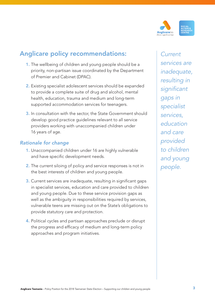

## Anglicare policy recommendations:

- 1. The wellbeing of children and young people should be a priority, non-partisan issue coordinated by the Department of Premier and Cabinet (DPAC).
- 2. Existing specialist adolescent services should be expanded to provide a complete suite of drug and alcohol, mental health, education, trauma and medium and long-term supported accommodation services for teenagers.
- 3. In consultation with the sector, the State Government should develop good practice guidelines relevant to all service providers working with unaccompanied children under 16 years of age.

#### *Rationale for change*

- 1. Unaccompanied children under 16 are highly vulnerable and have specific development needs.
- 2. The current siloing of policy and service responses is not in the best interests of children and young people.
- 3. Current services are inadequate, resulting in significant gaps in specialist services, education and care provided to children and young people. Due to these service provision gaps as well as the ambiguity in responsibilities required by services, vulnerable teens are missing out on the State's obligations to provide statutory care and protection.
- 4. Political cycles and partisan approaches preclude or disrupt the progress and efficacy of medium and long-term policy approaches and program initiatives.

*Current services are inadequate, resulting in significant gaps in specialist services, education and care provided to children and young people.*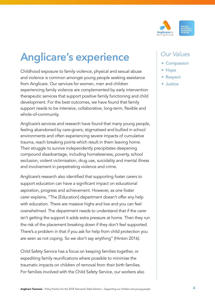

# **Anglicare's experience**

Childhood exposure to family violence, physical and sexual abuse and violence is common amongst young people seeking assistance from Anglicare. Our services for women, men and children experiencing family violence are complemented by early intervention therapeutic services that support positive family functioning and child development. For the best outcomes, we have found that family support needs to be intensive, collaborative, long-term, flexible and whole-of-community.

Anglicare's services and research have found that many young people, feeling abandoned by care-givers, stigmatised and bullied in school environments and often experiencing severe impacts of cumulative trauma, reach breaking points which result in them leaving home. Their struggle to survive independently precipitates deepening compound disadvantage, including homelessness, poverty, school exclusion, violent victimisation, drug use, suicidality and mental illness and involvement in perpetrating violence and crime.

Anglicare's research also identified that supporting foster carers to support education can have a significant impact on educational aspiration, progress and achievement. However, as one foster carer explains, "The [Education] department doesn't offer any help with education. There are massive highs and low and you can feel overwhelmed. The department needs to understand that if the carer isn't getting the support it adds extra pressure at home. Then they run the risk of the placement breaking down if they don't feel supported. There's a problem in that if you ask for help from child protection you are seen as not coping. So we don't say anything" (Hinton 2016).

Child Safety Service has a focus on keeping families together, or expediting family reunifications where possible to minimise the traumatic impacts on children of removal from their birth families. For families involved with the Child Safety Service, our workers also

### *Our Values*

- Compassion
- Hope
- Respect
- Justice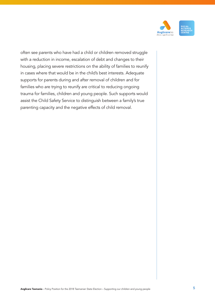

often see parents who have had a child or children removed struggle with a reduction in income, escalation of debt and changes to their housing, placing severe restrictions on the ability of families to reunify in cases where that would be in the child's best interests. Adequate supports for parents during and after removal of children and for families who are trying to reunify are critical to reducing ongoing trauma for families, children and young people. Such supports would assist the Child Safety Service to distinguish between a family's true parenting capacity and the negative effects of child removal.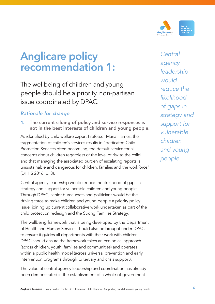

# **Anglicare policy recommendation 1:**

The wellbeing of children and young people should be a priority, non-partisan issue coordinated by DPAC.

### *Rationale for change*

1. The current siloing of policy and service responses is not in the best interests of children and young people.

As identified by child welfare expert Professor Maria Harries, the fragmentation of children's services results in "dedicated Child Protection Services often becom[ing] the default service for all concerns about children regardless of the level of risk to the child… and that managing the associated burden of escalating reports is unsustainable and dangerous for children, families and the workforce" (DHHS 2016, p. 3).

Central agency leadership would reduce the likelihood of gaps in strategy and support for vulnerable children and young people. Through DPAC, senior bureaucrats and politicians would be the driving force to make children and young people a priority policy issue, joining up current collaborative work undertaken as part of the child protection redesign and the Strong Families Strategy.

The wellbeing framework that is being developed by the Department of Health and Human Services should also be brought under DPAC to ensure it guides all departments with their work with children. DPAC should ensure the framework takes an ecological approach (across children, youth, families and communities) and operates within a public health model (across universal prevention and early intervention programs through to tertiary and crisis support).

The value of central agency leadership and coordination has already been demonstrated in the establishment of a whole-of-government

*Central agency leadership would reduce the likelihood of gaps in strategy and support for vulnerable children and young people.*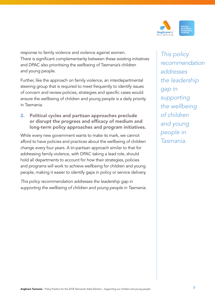

response to family violence and violence against women. There is significant complementarity between these existing initiatives and DPAC also prioritising the wellbeing of Tasmania's children and young people.

Further, like the approach on family violence, an interdepartmental steering group that is required to meet frequently to identify issues of concern and review policies, strategies and specific cases would ensure the wellbeing of children and young people is a daily priority in Tasmania.

2. Political cycles and partisan approaches preclude or disrupt the progress and efficacy of medium and long-term policy approaches and program initiatives.

While every new government wants to make its mark, we cannot afford to have policies and practices about the wellbeing of children change every four years. A tri-partisan approach similar to that for addressing family violence, with DPAC taking a lead role, should hold all departments to account for how their strategies, policies and programs will work to achieve wellbeing for children and young people, making it easier to identify gaps in policy or service delivery.

*This policy recommendation addresses the leadership gap in supporting the wellbeing of children and young people in Tasmania.*

*This policy recommendation addresses the leadership gap in supporting the wellbeing of children and young people in Tasmania.*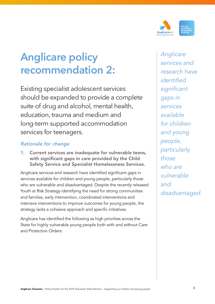

# **Anglicare policy recommendation 2:**

Existing specialist adolescent services should be expanded to provide a complete suite of drug and alcohol, mental health, education, trauma and medium and long-term supported accommodation services for teenagers.

### *Rationale for change*

1. Current services are inadequate for vulnerable teens, with significant gaps in care provided by the Child Safety Service and Specialist Homelessness Services.

Anglicare services and research have identified significant gaps in services available for children and young people, particularly those who are vulnerable and disadvantaged. Despite the recently released Youth at Risk Strategy identifying the need for strong communities and families, early intervention, coordinated interventions and intensive interventions to improve outcomes for young people, the strategy lacks a cohesive approach and specific initiatives.

Anglicare has identified the following as high priorities across the State for highly vulnerable young people both with and without Care and Protection Orders:

*Anglicare services and research have identified significant gaps in services available for children and young people, particularly those who are vulnerable and disadvantaged.*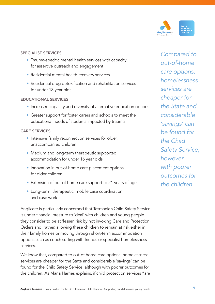

#### SPECIALIST SERVICES

- Trauma-specific mental health services with capacity for assertive outreach and engagement
- Residential mental health recovery services
- Residential drug detoxification and rehabilitation services for under 18 year olds

#### EDUCATIONAL SERVICES

- Increased capacity and diversity of alternative education options
- Greater support for foster carers and schools to meet the educational needs of students impacted by trauma

#### CARE SERVICES

- Intensive family reconnection services for older, unaccompanied children
- Medium and long-term therapeutic supported accommodation for under 16 year olds
- Innovation in out-of-home care placement options for older children
- Extension of out-of-home care support to 21 years of age
- Long-term, therapeutic, mobile case coordination and case work

Anglicare is particularly concerned that Tasmania's Child Safety Service is under financial pressure to 'deal' with children and young people they consider to be at 'lesser' risk by not invoking Care and Protection Orders and, rather, allowing these children to remain at risk either in their family homes or moving through short-term accommodation options such as couch surfing with friends or specialist homelessness services.

We know that, compared to out-of-home care options, homelessness services are cheaper for the State and considerable 'savings' can be found for the Child Safety Service, although with poorer outcomes for the children. As Maria Harries explains, if child protection services "are

*Compared to out-of-home care options, homelessness services are cheaper for the State and considerable 'savings' can be found for the Child Safety Service, however with poorer outcomes for the children.*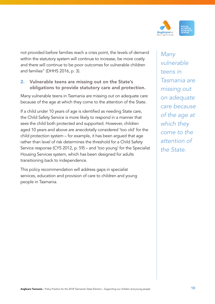

not provided before families reach a crisis point, the levels of demand within the statutory system will continue to increase, be more costly and there will continue to be poor outcomes for vulnerable children and families" (DHHS 2016, p. 3).

#### 2. Vulnerable teens are missing out on the State's obligations to provide statutory care and protection.

Many vulnerable teens in Tasmania are missing out on adequate care because of the age at which they come to the attention of the State.

If a child under 10 years of age is identified as needing State care, the Child Safety Service is more likely to respond in a manner that sees the child both protected and supported. However, children aged 10 years and above are anecdotally considered 'too old' for the child protection system – for example, it has been argued that age rather than level of risk determines the threshold for a Child Safety Service response (CYS 2012, p. 59) – and 'too young' for the Specialist Housing Services system, which has been designed for adults transitioning back to independence.

This policy recommendation will address gaps in specialist services, education and provision of care to children and young people in Tasmania.

*Many vulnerable teens in Tasmania are missing out on adequate care because of the age at which they come to the attention of the State.*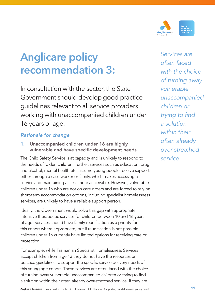

# **Anglicare policy recommendation 3:**

In consultation with the sector, the State Government should develop good practice guidelines relevant to all service providers working with unaccompanied children under 16 years of age.

### *Rationale for change*

1. Unaccompanied children under 16 are highly vulnerable and have specific development needs.

The Child Safety Service is at capacity and is unlikely to respond to the needs of 'older' children. Further, services such as education, drug and alcohol, mental health etc. assume young people receive support either through a case worker or family, which makes accessing a service and maintaining access more achievable. However, vulnerable children under 16 who are not on care orders and are forced to rely on short-term accommodation options, including specialist homelessness services, are unlikely to have a reliable support person.

Ideally, the Government would solve this gap with appropriate intensive therapeutic services for children between 10 and 16 years of age. Services should have family reunification as a priority for this cohort where appropriate, but if reunification is not possible children under 16 currently have limited options for receiving care or protection.

For example, while Tasmanian Specialist Homelessness Services accept children from age 13 they do not have the resources or practice guidelines to support the specific service delivery needs of this young age cohort. These services are often faced with the choice of turning away vulnerable unaccompanied children or trying to find a solution within their often already over-stretched service. If they are

*Services are often faced with the choice of turning away vulnerable unaccompanied children or trying to find a solution within their often already over-stretched service.*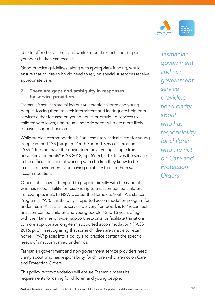

able to offer shelter, their one-worker model restricts the support younger children can receive.

Good practice guidelines, along with appropriate funding, would ensure that children who do need to rely on specialist services receive appropriate care.

2. There are gaps and ambiguity in responses by service providers.

Tasmania's services are failing our vulnerable children and young people, forcing them to seek intermittent and inadequate help from services either focused on young adults or providing services to children with lower, non-trauma-specific needs who are more likely to have a support person.

While stable accommodation is "an absolutely critical factor for young people in the TYSS [Targeted Youth Support Services] program", TYSS "does not have the power to remove young people from unsafe environments" (CYS 2012, pp. 59, 61). This leaves the service in the difficult position of working with children they know to be in unsafe environments and having no ability to offer them safe accommodation.

Other states have attempted to grapple directly with the issue of who has responsibility for responding to unaccompanied children. For example, in 2015 NSW created the Homeless Youth Assistance Program (HYAP). It is the only supported accommodation program for under 16s in Australia. Its service delivery framework is to "reconnect unaccompanied children and young people 12 to 15 years of age with their families or wider support networks, or facilitate transitions to more appropriate long-term supported accommodation" (FACS 2016, p. 3). In recognising that some children are unable to return home, HYAP places into a policy and practice context the specific needs of unaccompanied under 16s.

Tasmanian government and non-government service providers need clarity about who has responsibility for children who are not on Care and Protection Orders.

This policy recommendation will ensure Tasmania meets its requirements for caring for children and young people.

*Tasmanian government and nongovernment service providers need clarity about who has responsibility for children who are not on Care and Protection Orders.*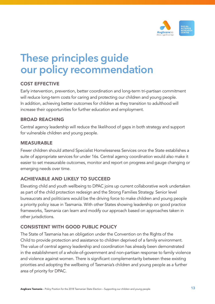

# **These principles guide our policy recommendation**

#### COST EFFECTIVE

Early intervention, prevention, better coordination and long-term tri-partisan commitment will reduce long-term costs for caring and protecting our children and young people. In addition, achieving better outcomes for children as they transition to adulthood will increase their opportunities for further education and employment.

#### BROAD REACHING

Central agency leadership will reduce the likelihood of gaps in both strategy and support for vulnerable children and young people.

#### MEASURABLE

Fewer children should attend Specialist Homelessness Services once the State establishes a suite of appropriate services for under 16s. Central agency coordination would also make it easier to set measurable outcomes, monitor and report on progress and gauge changing or emerging needs over time.

### ACHIEVABLE AND LIKELY TO SUCCEED

Elevating child and youth wellbeing to DPAC joins up current collaborative work undertaken as part of the child protection redesign and the Strong Families Strategy. Senior level bureaucrats and politicians would be the driving force to make children and young people a priority policy issue in Tasmania. With other States showing leadership on good practice frameworks, Tasmania can learn and modify our approach based on approaches taken in other jurisdictions.

#### CONSISTENT WITH GOOD PUBLIC POLICY

The State of Tasmania has an obligation under the Convention on the Rights of the Child to provide protection and assistance to children deprived of a family environment. The value of central agency leadership and coordination has already been demonstrated in the establishment of a whole-of-government and non-partisan response to family violence and violence against women. There is significant complementarity between these existing priorities and adopting the wellbeing of Tasmania's children and young people as a further area of priority for DPAC.